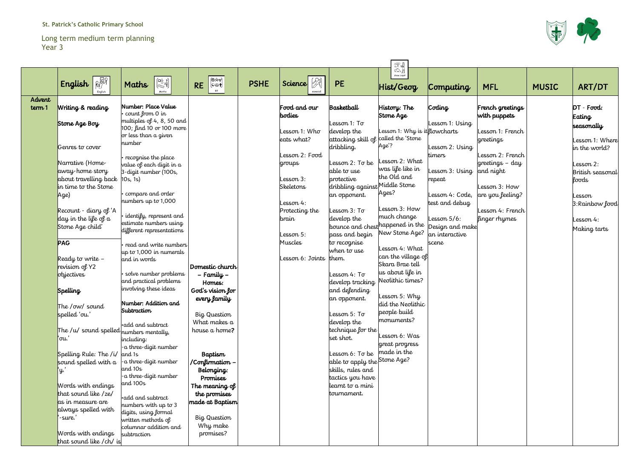#### Long term medium term planning Year 3

|        | 云光                                      |                                                                                                                                 |                        |             |                         |                                |                                  |                 |                  |              |                  |  |  |  |
|--------|-----------------------------------------|---------------------------------------------------------------------------------------------------------------------------------|------------------------|-------------|-------------------------|--------------------------------|----------------------------------|-----------------|------------------|--------------|------------------|--|--|--|
|        | <b>RAN</b><br>English<br>English        | $\begin{pmatrix} \Box^{\triangle}_{\bigcirc} & 2 \\ \Box^{\triangle}_{\bigcirc} & \frac{+3}{5} \end{pmatrix}$<br>Maths<br>Maths | <b>RE</b><br><b>RE</b> | <b>PSHE</b> | $\mathbb{Z}$<br>Science | <b>PE</b>                      | topic work<br>Hist/Geog          | Computing       | <b>MFL</b>       | <b>MUSIC</b> | ART/DT           |  |  |  |
| Advent |                                         | Number: Place Value                                                                                                             |                        |             | Food and our            | Basketball                     |                                  |                 |                  |              | $DT - Food:$     |  |  |  |
| term 1 | Writing & reading                       | count from 0 in                                                                                                                 |                        |             | <b>bodies</b>           |                                | History: The<br>Stone Age        | Coding          | French greetings |              |                  |  |  |  |
|        | Stone Age Boy                           | multiples of 4, 8, 50 and                                                                                                       |                        |             |                         | Lesson 1: To                   |                                  | Lesson 1: Using | with puppets     |              | Eating           |  |  |  |
|        |                                         | 100; find 10 or 100 more                                                                                                        |                        |             | Lesson 1: Who           | develop the                    | esson 1: Why is it flowcharts    |                 | Lesson 1: French |              | seasonally       |  |  |  |
|        |                                         | or less than a given                                                                                                            |                        |             | eats what?              | attacking skill of c           | alled the 'Stone                 |                 | greetings        |              | Lesson 1: Where  |  |  |  |
|        | Genres to cover                         | number                                                                                                                          |                        |             |                         | dribbling.                     | Age'?                            | Lesson 2: Using |                  |              | in the world?    |  |  |  |
|        |                                         | recognise the place                                                                                                             |                        |             | Lesson 2: Food          |                                |                                  | timers          | esson 2: French  |              |                  |  |  |  |
|        | Narrative (Home-                        | value of each digit in a                                                                                                        |                        |             | groups                  | Lesson 2: To be                | esson 2: What                    |                 | greetings - day  |              | Lesson 2:        |  |  |  |
|        | away home story                         | 3-digit number (100s,                                                                                                           |                        |             |                         | able to use                    | was life like in                 | Lesson 3: Using | and night        |              | British seasonal |  |  |  |
|        | about travelling back                   | $ 10s, 1s\rangle$                                                                                                               |                        |             | Lesson 3:               | protective                     | the Old and                      | repeat          |                  |              | foods            |  |  |  |
|        | in time to the Stone                    |                                                                                                                                 |                        |             | <b>Skeletons</b>        | dribbling against Middle Stone |                                  |                 | Lesson 3: How    |              |                  |  |  |  |
|        | Age)                                    | compare and order                                                                                                               |                        |             |                         | an opponent.                   | Ages?                            | Lesson 4: Code, | are you feeling? |              | Lesson           |  |  |  |
|        |                                         | numbers up to $1,000$                                                                                                           |                        |             | Lesson 4:               |                                |                                  | test and debug  |                  |              | 3: Rainbow food  |  |  |  |
|        | Recount - diary of 'A                   |                                                                                                                                 |                        |             | Protecting the          | Lesson 3: To                   | esson 3: How                     |                 | Lesson 4: French |              |                  |  |  |  |
|        | day in the life of a                    | identify, represent and<br>estimate numbers using                                                                               |                        |             | <b>brain</b>            | develop the                    | much change                      | Lesson $5/6$ :  | finger rhymes    |              | Lesson 4:        |  |  |  |
|        | Stone Age child'                        | different representations                                                                                                       |                        |             |                         |                                | bounce and chest happened in the | Design and make |                  |              | Making tarts     |  |  |  |
|        |                                         |                                                                                                                                 |                        |             | Lesson 5:               | pass and begin                 | New Stone Age?                   | an interactive  |                  |              |                  |  |  |  |
|        | <b>PAG</b>                              | read and write numbers                                                                                                          |                        |             | Muscles                 | to recognise                   |                                  | scene           |                  |              |                  |  |  |  |
|        |                                         | $\mu$ to 1,000 in numerals                                                                                                      |                        |             |                         | when to use                    | esson 4: What                    |                 |                  |              |                  |  |  |  |
|        | Ready to write $-$                      | and in words                                                                                                                    |                        |             | Lesson 6: Joints        | them.                          | can the village of               |                 |                  |              |                  |  |  |  |
|        | revision of Y2                          |                                                                                                                                 | Domestic church        |             |                         |                                | Skara Brae tell                  |                 |                  |              |                  |  |  |  |
|        | objectives                              | solve number problems                                                                                                           | - Family -             |             |                         | Lesson 4: To                   | us about life in                 |                 |                  |              |                  |  |  |  |
|        |                                         | and practical problems                                                                                                          | Homes:                 |             |                         | develop tracking               | Neolithic times?                 |                 |                  |              |                  |  |  |  |
|        | <b>Spelling</b>                         | involving these ideas                                                                                                           | God's vision for       |             |                         | and defending                  | Lesson 5: Why                    |                 |                  |              |                  |  |  |  |
|        |                                         | Number: Addition and                                                                                                            | every family           |             |                         | an opponent.                   | did the Neolithic                |                 |                  |              |                  |  |  |  |
|        | The /ow/ sound                          | Subtraction                                                                                                                     |                        |             |                         |                                | people build                     |                 |                  |              |                  |  |  |  |
|        | spelled 'ou.'                           |                                                                                                                                 | Big Question           |             |                         | Lesson 5: To                   | monuments?                       |                 |                  |              |                  |  |  |  |
|        |                                         | ·add and subtract                                                                                                               | What makes a           |             |                         | develop the                    |                                  |                 |                  |              |                  |  |  |  |
|        | The /u/ sound spelled numbers mentally, |                                                                                                                                 | house a home?          |             |                         | technique for the              | esson 6: Was                     |                 |                  |              |                  |  |  |  |
|        | `ou.`                                   | including:                                                                                                                      |                        |             |                         | set shot.                      | great progress                   |                 |                  |              |                  |  |  |  |
|        |                                         | -a three-digit number                                                                                                           |                        |             |                         | Lesson 6: To be                | made in the                      |                 |                  |              |                  |  |  |  |
|        | Spelling Rule: The $/i/$ and 1s         | a three-digit number                                                                                                            | <b>Baptism</b>         |             |                         | able to apply the Stone Age?   |                                  |                 |                  |              |                  |  |  |  |
|        | sound spelled with a                    | and 10s                                                                                                                         | /Confirmation -        |             |                         | skills, rules and              |                                  |                 |                  |              |                  |  |  |  |
|        | Ψ.                                      | -a three-digit number                                                                                                           | Belonging:<br>Promises |             |                         | tactics you have               |                                  |                 |                  |              |                  |  |  |  |
|        | Words with endings                      | and $100s$                                                                                                                      | The meaning of         |             |                         | learnt to a mini               |                                  |                 |                  |              |                  |  |  |  |
|        | that sound like /ze/                    |                                                                                                                                 | the promises           |             |                         | tournament.                    |                                  |                 |                  |              |                  |  |  |  |
|        | as in measure are                       | ·add and subtract                                                                                                               | made at Baptism        |             |                         |                                |                                  |                 |                  |              |                  |  |  |  |
|        | always spelled with                     | numbers with up to 3                                                                                                            |                        |             |                         |                                |                                  |                 |                  |              |                  |  |  |  |
|        | -sure.'                                 | digits, using formal                                                                                                            | Big Question           |             |                         |                                |                                  |                 |                  |              |                  |  |  |  |
|        |                                         | written methods of<br>columnar addition and                                                                                     | Why make               |             |                         |                                |                                  |                 |                  |              |                  |  |  |  |
|        | Words with endings                      | subtraction                                                                                                                     | promises?              |             |                         |                                |                                  |                 |                  |              |                  |  |  |  |
|        | that sound like / ch/ is                |                                                                                                                                 |                        |             |                         |                                |                                  |                 |                  |              |                  |  |  |  |

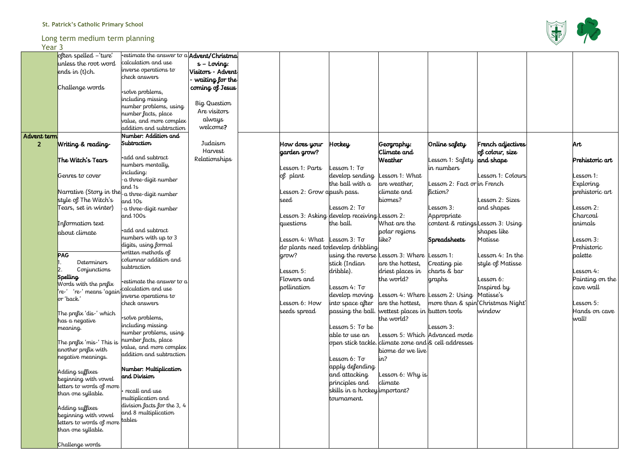## Long term medium term planning

Year 3

| י געו          |                           |                                                                     |                                |                             |                                                |                                                      |                                    |    |
|----------------|---------------------------|---------------------------------------------------------------------|--------------------------------|-----------------------------|------------------------------------------------|------------------------------------------------------|------------------------------------|----|
|                | often spelled -'ture'     | $\cdot$ estimate the answer to a $\mathsf{Ad}\xspace$ vent/Christma |                                |                             |                                                |                                                      |                                    |    |
|                | unless the root word      | calculation and use                                                 | $s$ – Loving:                  |                             |                                                |                                                      |                                    |    |
|                | ends in (t)ch.            | inverse operations to                                               | Visitors - Advent              |                             |                                                |                                                      |                                    |    |
|                |                           | check answers                                                       | $\cdot$ waiting for the $\mid$ |                             |                                                |                                                      |                                    |    |
|                | Challenge words           |                                                                     | coming of Jesus                |                             |                                                |                                                      |                                    |    |
|                |                           | ·solve problems,                                                    |                                |                             |                                                |                                                      |                                    |    |
|                |                           | including missing                                                   | Big Question                   |                             |                                                |                                                      |                                    |    |
|                |                           | number problems, using                                              | Are visitors                   |                             |                                                |                                                      |                                    |    |
|                |                           | number facts, place                                                 |                                |                             |                                                |                                                      |                                    |    |
|                |                           | value, and more complex                                             | always                         |                             |                                                |                                                      |                                    |    |
|                |                           | addition and subtraction                                            | welcome?                       |                             |                                                |                                                      |                                    |    |
| Advent term    |                           | Number: Addition and                                                |                                |                             |                                                |                                                      |                                    |    |
| $\overline{2}$ | Writing & reading         | Subtraction                                                         | Judaism                        | How does your               | $H$ ockey                                      | Geography:                                           | Online safety                      |    |
|                |                           |                                                                     | Harvest                        | garden grow?                |                                                | Climate and                                          |                                    |    |
|                | The Witch's Tears         | $\cdot$ add and subtract                                            | Relationships                  |                             |                                                | <b>Weather</b>                                       | Lesson 1: Safety   <mark>ai</mark> |    |
|                |                           | numbers mentally,<br>including:                                     |                                | Lesson 1: Parts             | Lesson $1:$ To                                 |                                                      | in numbers                         |    |
|                | Genres to cover           | a three-digit number-                                               |                                | of plant                    | develop sending                                | esson 1: What                                        |                                    |    |
|                |                           | and 1s                                                              |                                |                             | the ball with a                                | are weather,                                         | Lesson 2: Fact or in               |    |
|                | Narrative (Story in the   | a three-digit number                                                |                                | Lesson 2: Grow a push pass. |                                                | climate and                                          | liction?                           |    |
|                | style of The Witch's      | and 10s                                                             |                                | seed                        |                                                | biomes?                                              |                                    |    |
|                | Tears, set in winter)     | a three-digit number-                                               |                                |                             | Lesson $2:$ To                                 |                                                      | esson 3:                           |    |
|                |                           | and 100s                                                            |                                |                             | Lesson 3: Asking  develop receiving  Lesson 2: |                                                      | Appropriate                        |    |
|                | Information text          |                                                                     |                                | questions                   | the ball.                                      | What are the                                         | content & ratings La               |    |
|                | about climate             | add and subtract                                                    |                                |                             |                                                | polar regions                                        |                                    |    |
|                |                           | numbers with up to 3                                                |                                | esson 4: What               | Lesson $3:$ To                                 | like?                                                | <b>Spreadsheets</b>                |    |
|                |                           | digits, using formal                                                |                                |                             | do plants need to develop dribbling            |                                                      |                                    |    |
|                | <b>PAG</b>                | vritten methods of                                                  |                                | grow?                       |                                                | using the reverse Lesson 3: Where Lesson 1:          |                                    |    |
|                | <b>Determiners</b>        | columnar addition and                                               |                                |                             | stick (Indian                                  | are the hottest,                                     | Creating pie                       | st |
|                | Conjunctions              | subtraction                                                         |                                | esson 5:                    | dribble).                                      | driest places in                                     | charts & bar                       |    |
|                | Spelling                  |                                                                     |                                | Flowers and                 |                                                | the world?                                           | graphs                             |    |
|                | Words with the prefix     | $\cdot$ estimate the answer to a                                    |                                | pollination                 | Lesson $4:$ To                                 |                                                      |                                    |    |
|                | 're-' means 'again'       | calculation and use                                                 |                                |                             |                                                | develop moving Lesson 4: Where Lesson 2: Using M     |                                    |    |
|                | or 'back.'                | inverse operations to                                               |                                |                             |                                                | $ $ are the hottest, $ $ more than & spin $C$        |                                    |    |
|                |                           | check answers                                                       |                                | esson 6: How                | into space after                               |                                                      |                                    |    |
|                | The prefix 'dis-' which   | ·solve problems,                                                    |                                | seeds spread                |                                                | passing the ball. wettest places in button tools     |                                    | W  |
|                | has a negative            | including missing                                                   |                                |                             |                                                | the world?                                           |                                    |    |
|                | meaning.                  | number problems, using                                              |                                |                             | Lesson 5: To be                                |                                                      | Lesson 3:                          |    |
|                |                           | number facts, place                                                 |                                |                             | able to use an                                 | Lesson 5: Which Advanced mode                        |                                    |    |
|                | The prefix 'mis-' This is | value, and more complex                                             |                                |                             |                                                | open stick tackle. climate zone and & cell addresses |                                    |    |
|                | another prefix with       | addition and subtraction                                            |                                |                             |                                                | biome do we live                                     |                                    |    |
|                | negative meanings.        |                                                                     |                                |                             | Lesson 6: To                                   | in?                                                  |                                    |    |
|                | Adding suffixes           | Number: Multiplication                                              |                                |                             | apply defending                                |                                                      |                                    |    |
|                | beginning with vowel      | and Division                                                        |                                |                             | and attacking                                  | Lesson $6:$ Why is                                   |                                    |    |
|                | letters to words of more  |                                                                     |                                |                             | principles and                                 | climate                                              |                                    |    |
|                | than one syllable.        | recall and use                                                      |                                |                             | skills in a hockey important?                  |                                                      |                                    |    |
|                |                           | multiplication and                                                  |                                |                             | tournament.                                    |                                                      |                                    |    |
|                | Adding suffixes           | division facts for the 3, 4                                         |                                |                             |                                                |                                                      |                                    |    |
|                | beginning with vowel      | and 8 multiplication                                                |                                |                             |                                                |                                                      |                                    |    |
|                | letters to words of more  | tables                                                              |                                |                             |                                                |                                                      |                                    |    |
|                | than one syllable.        |                                                                     |                                |                             |                                                |                                                      |                                    |    |
|                |                           |                                                                     |                                |                             |                                                |                                                      |                                    |    |
|                | Challenge words           |                                                                     |                                |                             |                                                |                                                      |                                    |    |





| animals<br>Lesson 3:<br>Prehistoric<br>palette<br>Lesson 4:<br>cave wall<br>Lesson 5:<br>wall! | French adjectives<br>of colour, size<br>and shape<br>Lesson 1: Colours<br>in French<br>Lesson 2: Sizes<br>and shapes | Art<br>Prehistoric art<br>Lesson 1:<br><b>Exploring</b><br>prehistoric art<br>Lesson 2: |
|------------------------------------------------------------------------------------------------|----------------------------------------------------------------------------------------------------------------------|-----------------------------------------------------------------------------------------|
| Matisse's                                                                                      | Lesson 3: Using<br>shapes like                                                                                       | Charcoal                                                                                |
|                                                                                                | Matisse<br>Lesson 4: In the<br>style of Matisse<br>Lesson 6:<br>Inspired by                                          | Painting on the                                                                         |
|                                                                                                | 'Christmas Night'<br>window                                                                                          | Hands on cave                                                                           |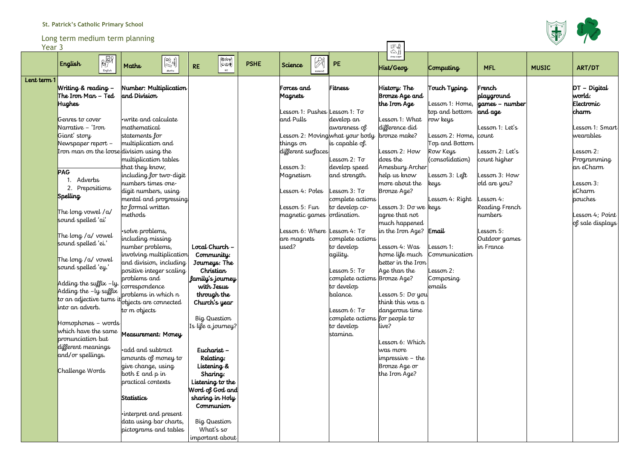# **St. Patrick's Catholic Primary School**

Long term medium term planning

| Year 3      | Lung term meulum term planning                           |                                                                                                                |                                 |             |                                |                                 | 「不敢                                      |                             |                                      |              |                          |
|-------------|----------------------------------------------------------|----------------------------------------------------------------------------------------------------------------|---------------------------------|-------------|--------------------------------|---------------------------------|------------------------------------------|-----------------------------|--------------------------------------|--------------|--------------------------|
|             | $\sqrt{\frac{1}{2}}$<br>English<br>English               | $\begin{pmatrix} \square\bigtriangleup&2\\ \square\bigtriangleup&\frac{+3}{5} \end{pmatrix}$<br>Maths<br>Maths | 倒淡里<br>(cയ+)<br><b>RE</b><br>RE | <b>PSHE</b> | 图<br>Science<br><b>Science</b> | PE                              | $\triangle$ h<br>topic work<br>Hist/Geog | Computing                   | <b>MFL</b>                           | <b>MUSIC</b> | ART/DT                   |
| Lent term 1 | Writing & reading -<br>The Iron Man $-$ Ted              | Number: Multiplication<br>and Division                                                                         |                                 |             | Forces and<br>Magnets          | Fitness                         | History: The<br>Bronze Age and           | Touch Typing.               | French<br>playground                 |              | $DT - Digital$<br>world: |
|             | <b>Hughes</b>                                            |                                                                                                                |                                 |             |                                |                                 | the Iron Age                             |                             | esson 1: Home, <b>games – number</b> |              | Electronic               |
|             |                                                          |                                                                                                                |                                 |             |                                | Lesson 1: Pushes  Lesson 1: To  |                                          | top and bottom              | and age                              |              | <b>charm</b>             |
|             | Genres to cover                                          | write and calculate.»                                                                                          |                                 |             | and Pulls                      | develop an                      | Lesson 1: What                           | row keys                    |                                      |              |                          |
|             | Narrative - 'Iron                                        | mathematical                                                                                                   |                                 |             |                                | awareness of                    | difference did                           |                             | Lesson 1: Let's                      |              | Lesson 1: Smart          |
|             | Giant' story                                             | statements for                                                                                                 |                                 |             |                                | Lesson 2: Moving what your body | bronze make?                             | esson 2: Home, count        |                                      |              | wearables                |
|             | Newspaper report $-$                                     | multiplication and                                                                                             |                                 |             | things on                      | is capable of.                  | Lesson 2: How                            | Top and Bottom              | Lesson 2: Let's                      |              | Lesson 2:                |
|             | Iron man on the loose division using the                 | multiplication tables                                                                                          |                                 |             | different surfaces             | Lesson 2: To                    | does the                                 | Row Keys<br>(consolidation) | count higher                         |              | Programming              |
|             |                                                          | that they know,                                                                                                |                                 |             | Lesson 3:                      | develop speed                   | Amesbury Archer                          |                             |                                      |              | an eCharm                |
|             | <b>PAG</b>                                               | including for two-digit                                                                                        |                                 |             | Magnetism                      | and strength.                   | help us know                             | esson 3: Left               | Lesson 3: How                        |              |                          |
|             | 1. Adverbs                                               | numbers times one                                                                                              |                                 |             |                                |                                 | more about the                           | keys                        | old are you?                         |              | Lesson 3:                |
|             | 2. Prepositions                                          | digit numbers, using                                                                                           |                                 |             | Lesson 4: Poles                | esson 3: To                     | Bronze Age?                              |                             |                                      |              | <i>eCharm</i>            |
|             | Spelling                                                 | mental and progressing                                                                                         |                                 |             |                                | complete actions                |                                          | Lesson 4: Right             | Lesson 4:                            |              | pouches                  |
|             |                                                          | to formal written                                                                                              |                                 |             | Lesson 5: Fun                  | to develop co-                  | Lesson 3: Do we keys                     |                             | Reading French                       |              |                          |
|             | The long vowel $/a/$<br>sound spelled 'ai'               | methods                                                                                                        |                                 |             | magnetic games ordination.     |                                 | agree that not                           |                             | numbers                              |              | Lesson 4; Point          |
|             |                                                          |                                                                                                                |                                 |             |                                |                                 | much happened                            |                             |                                      |              | of sale displays         |
|             | The long / a/ vowel                                      | solve problems,                                                                                                |                                 |             |                                | Lesson 6: Where  Lesson 4: To   | in the Iron Age? Email                   |                             | Lesson 5:                            |              |                          |
|             | sound spelled 'ei.'                                      | including missing                                                                                              |                                 |             | are magnets                    | complete actions                |                                          |                             | Outdoor games                        |              |                          |
|             |                                                          | number problems,                                                                                               | Local Church -                  |             | used?                          | to develop                      | Lesson 4: Was                            | esson 1:                    | in France                            |              |                          |
|             | The long / a/ vowel                                      | involving multiplication<br>and division, including                                                            | Community:                      |             |                                | agility.                        | home life much<br>better in the Iron     | Communication               |                                      |              |                          |
|             | sound spelled 'ey.'                                      | positive integer scaling                                                                                       | Journeys: The<br>Christian      |             |                                | Lesson 5: To                    | Age than the                             | esson 2:                    |                                      |              |                          |
|             |                                                          | problems and                                                                                                   | family's journey                |             |                                | complete actions Bronze Age?    |                                          | Composing                   |                                      |              |                          |
|             | Adding the suffix -ly. correspondence                    |                                                                                                                | with Jesus                      |             |                                | to develop                      |                                          | emails                      |                                      |              |                          |
|             | Adding the -ly suffix                                    | problems in which n                                                                                            | through the                     |             |                                | balance.                        | Lesson 5: Do you                         |                             |                                      |              |                          |
|             | to an adjective turns it                                 | objects are connected                                                                                          | Church's year                   |             |                                |                                 | think this was a                         |                             |                                      |              |                          |
|             | into an adverb.                                          | to m objects                                                                                                   |                                 |             |                                | Lesson 6: To                    | dangerous time                           |                             |                                      |              |                          |
|             |                                                          |                                                                                                                | Big Question                    |             |                                | complete actions for people to  |                                          |                             |                                      |              |                          |
|             | $\blacksquare$ Homophones – words<br>which have the same |                                                                                                                | Is life a journey?              |             |                                | to develop                      | live?                                    |                             |                                      |              |                          |
|             | pronunciation but                                        | Measurement: Money                                                                                             |                                 |             |                                | stamina.                        |                                          |                             |                                      |              |                          |
|             | different meanings                                       |                                                                                                                |                                 |             |                                |                                 | Lesson 6: Which                          |                             |                                      |              |                          |
|             | and/or spellings.                                        | •add and subtract                                                                                              | Eucharist-                      |             |                                |                                 | was more                                 |                             |                                      |              |                          |
|             |                                                          | amounts of money to                                                                                            | Relating:                       |             |                                |                                 | impressive – the                         |                             |                                      |              |                          |
|             | Challenge Words                                          | give change, using<br>both E and p in                                                                          | Listening &<br>Sharing:         |             |                                |                                 | Bronze Age or<br>the Iron Age?           |                             |                                      |              |                          |
|             |                                                          | practical contexts                                                                                             | Listening to the                |             |                                |                                 |                                          |                             |                                      |              |                          |
|             |                                                          |                                                                                                                | Word of God and                 |             |                                |                                 |                                          |                             |                                      |              |                          |
|             |                                                          | <b>Statistics</b>                                                                                              | sharing in Holy                 |             |                                |                                 |                                          |                             |                                      |              |                          |
|             |                                                          |                                                                                                                | Communion                       |             |                                |                                 |                                          |                             |                                      |              |                          |
|             |                                                          | $\cdot$ interpret and present                                                                                  |                                 |             |                                |                                 |                                          |                             |                                      |              |                          |
|             |                                                          | data using bar charts,                                                                                         | Big Question                    |             |                                |                                 |                                          |                             |                                      |              |                          |
|             |                                                          | pictograms and tables                                                                                          | What's so                       |             |                                |                                 |                                          |                             |                                      |              |                          |
|             |                                                          |                                                                                                                | important about                 |             |                                |                                 |                                          |                             |                                      |              |                          |



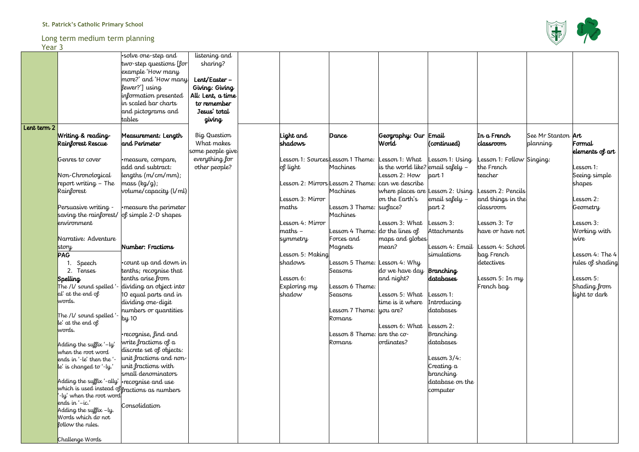### Long term medium term planning

#### Year 3

| <b>ICAL J</b> |                                                 |                                                           |                   |                 |                                  |                                   |                       |                          |                           |                       |
|---------------|-------------------------------------------------|-----------------------------------------------------------|-------------------|-----------------|----------------------------------|-----------------------------------|-----------------------|--------------------------|---------------------------|-----------------------|
|               |                                                 | ·solve one-step and                                       | listening and     |                 |                                  |                                   |                       |                          |                           |                       |
|               |                                                 | two-step questions [for]                                  | sharing?          |                 |                                  |                                   |                       |                          |                           |                       |
|               |                                                 | example 'How many                                         |                   |                 |                                  |                                   |                       |                          |                           |                       |
|               |                                                 | more?' and 'How many                                      | Lent/Easter -     |                 |                                  |                                   |                       |                          |                           |                       |
|               |                                                 | fewer?'] using                                            | Giving: Giving    |                 |                                  |                                   |                       |                          |                           |                       |
|               |                                                 | information presented                                     | All: Lent, a time |                 |                                  |                                   |                       |                          |                           |                       |
|               |                                                 | in scaled bar charts                                      | to remember       |                 |                                  |                                   |                       |                          |                           |                       |
|               |                                                 |                                                           |                   |                 |                                  |                                   |                       |                          |                           |                       |
|               |                                                 | and pictograms and                                        | Jesus' total      |                 |                                  |                                   |                       |                          |                           |                       |
|               |                                                 | tables                                                    | giving            |                 |                                  |                                   |                       |                          |                           |                       |
| Lent term 2   |                                                 |                                                           |                   |                 |                                  |                                   |                       |                          |                           |                       |
|               | Writing & reading                               | Measurement: Length                                       | Big Question      | Light and       | Dance                            | Geography: Our Email              |                       | In a French              | See Mr Stanton <b>Art</b> |                       |
|               | Rainforest Rescue                               | and Perimeter                                             | What makes        | shadows         |                                  | World                             | (continued)           | <b>classroom</b>         | planning                  | Formal                |
|               |                                                 |                                                           | some people give  |                 |                                  |                                   |                       |                          |                           | elements of $art$ $ $ |
|               | Genres to cover                                 | ·measure, compare,                                        | everything for    |                 | esson 1: Sources Lesson 1 Theme: | Lesson 1: What   Lesson 1: Using  |                       | esson 1: Follow Singing: |                           |                       |
|               |                                                 | add and subtract:                                         | other people?     | of light        | Machines                         | is the world like? email safely – |                       | the French               |                           | Lesson 1:             |
|               | Non-Chronological                               | $lengths$ (m/cm/mm);                                      |                   |                 |                                  | Lesson 2: How                     | part 1                | teacher                  |                           | Seeing simple         |
|               | report writing - The                            | mass (kg/g);                                              |                   |                 | esson 2: Mirrors Lesson 2 Theme: | can we describe                   |                       |                          |                           | shapes                |
|               | Rainforest                                      | volume/capacity (l/ml)                                    |                   |                 | Machines                         | where places are Lesson 2: Using  |                       | esson 2: Pencils         |                           |                       |
|               |                                                 |                                                           |                   | esson 3: Mirror |                                  | on the Earth's                    | $ $ email safely -    | and things in the        |                           | Lesson 2:             |
|               | Persuasive writing -                            | •measure the perimeter                                    |                   | maths           | Lesson 3 Theme: surface?         |                                   | part 2                | classroom                |                           | Geometry              |
|               |                                                 | saving the rainforest/ $\log$ simple 2-D shapes           |                   |                 | Machines                         |                                   |                       |                          |                           |                       |
|               | environment                                     |                                                           |                   | esson 4: Mirror |                                  | Lesson 3: What                    | $\textsf{Lessom} 3$ : | Lesson $3:$ To           |                           | Lesson 3:             |
|               |                                                 |                                                           |                   |                 |                                  |                                   |                       |                          |                           |                       |
|               |                                                 |                                                           |                   | maths -         | Lesson 4 Theme:                  | $ $ do the lines of               | Attachments           | have or have not         |                           | Working with          |
|               | Narrative: Adventure                            |                                                           |                   | symmetry        | Forces and                       | maps and globes                   |                       |                          |                           | wire                  |
|               | story                                           | Number: Fractions                                         |                   |                 | Magnets                          | mean?                             | Lesson 4: Email       | esson 4: School          |                           |                       |
|               | <b>PAG</b>                                      |                                                           |                   | esson 5: Making |                                  |                                   | simulations           | bag French               |                           | Lesson 4: The 4       |
|               | Speech                                          | $\cdot$ count up and down in                              |                   | shadows         | esson 5 Theme:                   | Lesson 4: $Why$                   |                       | detectives               |                           | rules of shading      |
|               | 2. Tenses                                       | tenths; recognise that                                    |                   |                 | Seasons                          | $ $ do we have day $ $ Branching  |                       |                          |                           |                       |
|               | <b>Spelling</b>                                 | tenths arise from                                         |                   | esson 6:        |                                  | and night?                        | databases             | Lesson 5: In my          |                           | Lesson 5:             |
|               |                                                 | The $\mathcal U$ sound spelled '- dividing an object into |                   | Exploring $my$  | Lesson 6 Theme:                  |                                   |                       | French bag               |                           | Shading from          |
|               | al' at the end of                               | 10 equal parts and in                                     |                   | shadow          | <b>Seasons</b>                   | Lesson 5: What                    | $\textsf{Lessom 1:}$  |                          |                           | light to dark         |
|               | words.                                          | dividing one digit                                        |                   |                 |                                  | time is it where                  | Introducing           |                          |                           |                       |
|               |                                                 | numbers or quantities                                     |                   |                 | Lesson 7 Theme: you are?         |                                   | databases             |                          |                           |                       |
|               | The /V sound spelled '-                         | by 10                                                     |                   |                 | Romans                           |                                   |                       |                          |                           |                       |
|               | $\mathsf{I}\mathsf{e}'$ at the end of           |                                                           |                   |                 |                                  | Lesson 6: What                    | $\textsf{Lesson 2:}$  |                          |                           |                       |
|               | words.                                          | •recognise, find and                                      |                   |                 | Lesson 8 Theme:  are the co-     |                                   | Branching             |                          |                           |                       |
|               |                                                 | write fractions of a                                      |                   |                 | Romans                           | ordinates?                        | databases             |                          |                           |                       |
|               | Adding the suffix '-ly'                         | discrete set of objects:                                  |                   |                 |                                  |                                   |                       |                          |                           |                       |
|               | when the root word                              |                                                           |                   |                 |                                  |                                   | Lesson $3/4$ :        |                          |                           |                       |
|               | ends in '-le' then the '-                       | unit fractions and non                                    |                   |                 |                                  |                                   |                       |                          |                           |                       |
|               | $\vert$ le' is changed to '-ly.'                | unit fractions with                                       |                   |                 |                                  |                                   | Creating a            |                          |                           |                       |
|               |                                                 | small denominators                                        |                   |                 |                                  |                                   | branching             |                          |                           |                       |
|               | Adding the suffix '-ally'   recognise and use   |                                                           |                   |                 |                                  |                                   | database on the       |                          |                           |                       |
|               |                                                 | which is used instead offractions as numbers              |                   |                 |                                  |                                   | computer              |                          |                           |                       |
|               | -ly' when the root word<br>ends in $'-ic'$      |                                                           |                   |                 |                                  |                                   |                       |                          |                           |                       |
|               |                                                 | Consolidation                                             |                   |                 |                                  |                                   |                       |                          |                           |                       |
|               | Adding the suffix $-ly$ .<br>Words which do not |                                                           |                   |                 |                                  |                                   |                       |                          |                           |                       |
|               | follow the rules.                               |                                                           |                   |                 |                                  |                                   |                       |                          |                           |                       |
|               |                                                 |                                                           |                   |                 |                                  |                                   |                       |                          |                           |                       |
|               | Challenge Words                                 |                                                           |                   |                 |                                  |                                   |                       |                          |                           |                       |
|               |                                                 |                                                           |                   |                 |                                  |                                   |                       |                          |                           |                       |

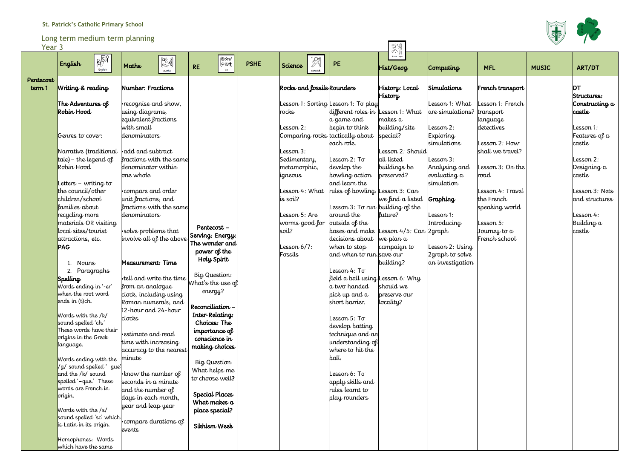# **St. Patrick's Catholic Primary School**

#### Long term medium term planning

| Year 3    | Long term medium term planning                |                                                                                                                              |                                 |             |                                  |                                           | 云                                |                                     |                        |              |                 |
|-----------|-----------------------------------------------|------------------------------------------------------------------------------------------------------------------------------|---------------------------------|-------------|----------------------------------|-------------------------------------------|----------------------------------|-------------------------------------|------------------------|--------------|-----------------|
|           | 腳<br>English                                  | $\begin{pmatrix} \Box^{\triangle}_{\triangle} & 2 \\ \Box^{\triangle}_{\triangle} & 3 \\ \Box^{\triangle} & 5 \end{pmatrix}$ | ⊕≫ාමා<br>(c⊚+)                  | <b>PSHE</b> | $\mathbb{Z}$                     | PE                                        | topic work                       |                                     |                        |              |                 |
|           | English                                       | Maths<br>Maths                                                                                                               | <b>RE</b><br><b>RE</b>          |             | Science<br>Science               |                                           | Hist/Geog                        | Computing                           | <b>MFL</b>             | <b>MUSIC</b> | ART/DT          |
| Pentecost |                                               |                                                                                                                              |                                 |             |                                  |                                           |                                  |                                     |                        |              |                 |
| term 1    | Writing & reading                             | Number: Fractions                                                                                                            |                                 |             | Rocks and fossils Rounders       |                                           | History: Local                   | Simulations                         | French transport       |              | <b>DT</b>       |
|           |                                               |                                                                                                                              |                                 |             |                                  |                                           | <b>History</b>                   |                                     |                        |              | Structures:     |
|           | The Adventures of                             | •recognise and show,                                                                                                         |                                 |             |                                  | esson 1: Sorting Lesson 1: To play        |                                  | Lesson 1: What                      | esson 1: French        |              | Constructing a  |
|           | Robin Hood                                    | using diagrams,                                                                                                              |                                 |             | rocks                            | different roles in                        | esson 1: What<br>makes a         | are simulations?                    | transport              |              | castle          |
|           |                                               | equivalent fractions<br>with small                                                                                           |                                 |             | esson 2:                         | a game and<br>begin to think              | building/site                    | esson 2:                            | language<br>detectives |              | Lesson 1:       |
|           | Genres to cover:                              | denominators                                                                                                                 |                                 |             | Comparing rocks tactically about |                                           | special?                         | Exploring                           |                        |              | Features of $a$ |
|           |                                               |                                                                                                                              |                                 |             |                                  | each role.                                |                                  | simulations                         | Lesson 2: How          |              | castle          |
|           | Narrative (traditional                        | <b>.</b> add and subtract                                                                                                    |                                 |             | esson 3:                         |                                           | Lesson 2: Should                 |                                     | shall we travel?       |              |                 |
|           | $ t$ ale) – the legend of                     | fractions with the same                                                                                                      |                                 |             | Sedimentary,                     | Lesson 2: To                              | all listed                       | Lesson 3:                           |                        |              | Lesson 2:       |
|           | Robin Hood                                    | denominator within                                                                                                           |                                 |             | metamorphic,                     | develop the                               | buildings be                     | Analysing and                       | Lesson 3: On the       |              | Designing a     |
|           |                                               | one whole                                                                                                                    |                                 |             | igneous                          | bowling action                            | preserved?                       | evaluating a                        | road                   |              | castle          |
|           | Letters – writing to                          |                                                                                                                              |                                 |             |                                  | and learn the                             |                                  | simulation                          |                        |              |                 |
|           | the council/other                             | .compare and order                                                                                                           |                                 |             | esson 4: What                    | rules of bowling.                         | esson 3: Can                     |                                     | Lesson 4: Travel       |              | Lesson 3: Nets  |
|           | children/school                               | unit fractions, and                                                                                                          |                                 |             | is soil?                         |                                           | we find a listed                 | Graphing                            | the French             |              | and structures  |
|           | lamilies about                                | fractions with the same                                                                                                      |                                 |             |                                  |                                           | Lesson 3: To run building of the |                                     | speaking world         |              |                 |
|           | recycling more                                | denominators                                                                                                                 |                                 |             | esson 5: Are                     | around the                                | luture?                          | Lesson 1:                           |                        |              | Lesson 4:       |
|           | materials OR visiting                         |                                                                                                                              | Pentecost-                      |             | worms good for                   | outside of the                            |                                  | Introducing                         | Lesson 5:              |              | Building a      |
|           | local sites/tourist                           | solve problems that                                                                                                          | Serving: Energy:                |             | soil?                            | bases and make                            | Lesson 4/5: Can 2graph           |                                     | Journey to a           |              | castle          |
|           | attractions, etc.                             | involve all of the above                                                                                                     | The wonder and                  |             | $\frac{2}{5}$ esson 6/7:         | decisions about                           | we plan a                        |                                     | French school          |              |                 |
|           | <b>PAG</b>                                    |                                                                                                                              | power of the                    |             | Fossils                          | when to stop<br>and when to run. save our | campaign to                      | Lesson 2: Using<br>2 graph to solve |                        |              |                 |
|           | 1. Nouns                                      | Measurement: Time                                                                                                            | Holy Spirit                     |             |                                  |                                           | building?                        | an investigation                    |                        |              |                 |
|           | 2. Paragraphs                                 |                                                                                                                              |                                 |             |                                  | Lesson 4: To                              |                                  |                                     |                        |              |                 |
|           | Spelling                                      | <b>.</b> tell and write the time                                                                                             | Big Question:                   |             |                                  |                                           | field a ball using Lesson 6: Why |                                     |                        |              |                 |
|           | Words ending in '-er'                         | from an analogue                                                                                                             | What's the use of               |             |                                  | a two handed                              | should we                        |                                     |                        |              |                 |
|           | when the root word                            | clock, including using                                                                                                       | energy?                         |             |                                  | pick up and a                             | preserve our                     |                                     |                        |              |                 |
|           | ends in $(t)$ ch.                             | Roman numerals, and                                                                                                          |                                 |             |                                  | short barrier.                            | locality?                        |                                     |                        |              |                 |
|           |                                               | 12-hour and 24-hour                                                                                                          | Reconciliation -                |             |                                  |                                           |                                  |                                     |                        |              |                 |
|           | Words with the /k/<br>sound spelled 'ch.'     | clocks                                                                                                                       | Inter-Relating:<br>Choices: The |             |                                  | Lesson 5: To                              |                                  |                                     |                        |              |                 |
|           | These words have their                        |                                                                                                                              | importance of                   |             |                                  | develop batting                           |                                  |                                     |                        |              |                 |
|           | origins in the Greek                          | estimate and read                                                                                                            | conscience in                   |             |                                  | technique and an                          |                                  |                                     |                        |              |                 |
|           | language.                                     | time with increasing                                                                                                         | making choices                  |             |                                  | understanding of                          |                                  |                                     |                        |              |                 |
|           |                                               | accuracy to the nearest                                                                                                      |                                 |             |                                  | where to hit the                          |                                  |                                     |                        |              |                 |
|           | Words ending with the                         | minute                                                                                                                       | Big Question                    |             |                                  | ball.                                     |                                  |                                     |                        |              |                 |
|           | /g/ sound spelled '-gue'<br>and the /k/ sound |                                                                                                                              | What helps me                   |             |                                  | Lesson 6: To                              |                                  |                                     |                        |              |                 |
|           | spelled '-que.' These                         | •know the number of<br>seconds in a minute                                                                                   | to choose well?                 |             |                                  | apply skills and                          |                                  |                                     |                        |              |                 |
|           | words are French in                           | and the number of                                                                                                            |                                 |             |                                  | rules learnt to                           |                                  |                                     |                        |              |                 |
|           | origin.                                       | days in each month,                                                                                                          | Special Places                  |             |                                  | play rounders                             |                                  |                                     |                        |              |                 |
|           |                                               | year and leap year                                                                                                           | What makes a                    |             |                                  |                                           |                                  |                                     |                        |              |                 |
|           | Words with the /s/                            |                                                                                                                              | place special?                  |             |                                  |                                           |                                  |                                     |                        |              |                 |
|           | sound spelled 'sc' which                      | . compare durations of                                                                                                       |                                 |             |                                  |                                           |                                  |                                     |                        |              |                 |
|           | is Latin in its origin.                       | events                                                                                                                       | Sikhism Week                    |             |                                  |                                           |                                  |                                     |                        |              |                 |
|           | Homophones: Words                             |                                                                                                                              |                                 |             |                                  |                                           |                                  |                                     |                        |              |                 |
|           | which have the same                           |                                                                                                                              |                                 |             |                                  |                                           |                                  |                                     |                        |              |                 |